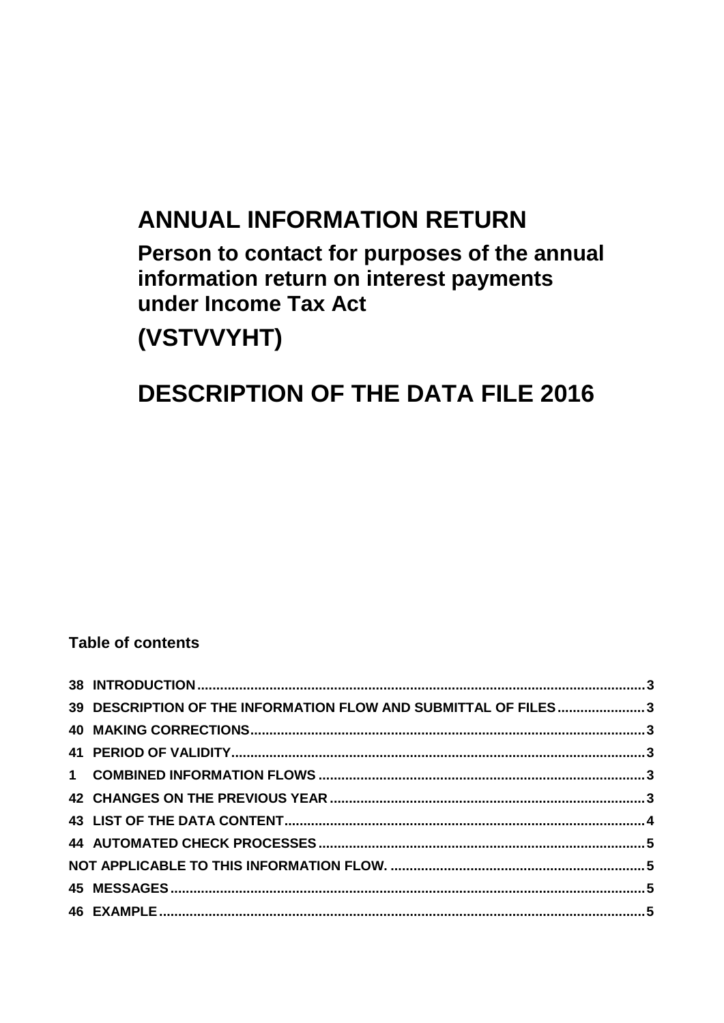# **ANNUAL INFORMATION RETURN**

Person to contact for purposes of the annual information return on interest payments under Income Tax Act (VSTVVYHT)

# **DESCRIPTION OF THE DATA FILE 2016**

# **Table of contents**

| 39 DESCRIPTION OF THE INFORMATION FLOW AND SUBMITTAL OF FILES3 |  |
|----------------------------------------------------------------|--|
|                                                                |  |
|                                                                |  |
|                                                                |  |
|                                                                |  |
|                                                                |  |
|                                                                |  |
|                                                                |  |
|                                                                |  |
|                                                                |  |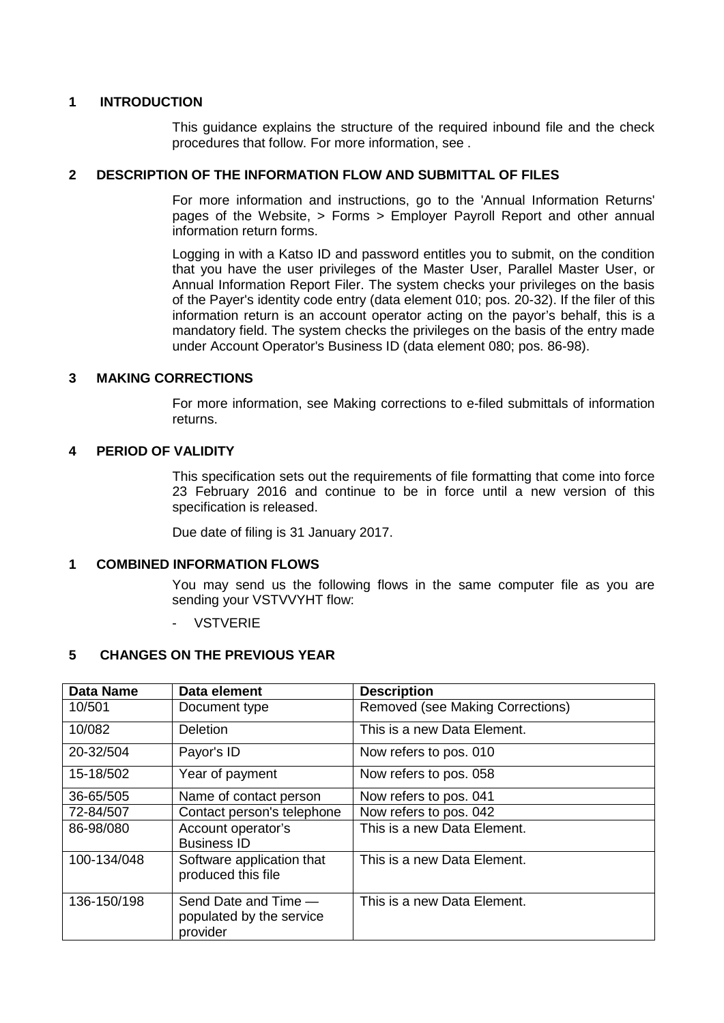# <span id="page-2-0"></span>**1 INTRODUCTION**

This guidance explains the structure of the required inbound file and the check procedures that follow. For more information, see .

#### <span id="page-2-1"></span>**2 DESCRIPTION OF THE INFORMATION FLOW AND SUBMITTAL OF FILES**

For more information and instructions, go to the 'Annual Information Returns' pages of the Website, > Forms > Employer Payroll Report and other annual information return forms.

Logging in with a Katso ID and password entitles you to submit, on the condition that you have the user privileges of the Master User, Parallel Master User, or Annual Information Report Filer. The system checks your privileges on the basis of the Payer's identity code entry (data element 010; pos. 20-32). If the filer of this information return is an account operator acting on the payor's behalf, this is a mandatory field. The system checks the privileges on the basis of the entry made under Account Operator's Business ID (data element 080; pos. 86-98).

#### <span id="page-2-2"></span>**3 MAKING CORRECTIONS**

For more information, see Making corrections to e-filed submittals of information returns.

#### <span id="page-2-3"></span>**4 PERIOD OF VALIDITY**

This specification sets out the requirements of file formatting that come into force 23 February 2016 and continue to be in force until a new version of this specification is released.

Due date of filing is 31 January 2017.

#### <span id="page-2-4"></span>**1 COMBINED INFORMATION FLOWS**

You may send us the following flows in the same computer file as you are sending your VSTVVYHT flow:

- VSTVERIE

## <span id="page-2-5"></span>**5 CHANGES ON THE PREVIOUS YEAR**

| <b>Data Name</b> | Data element                                                 | <b>Description</b>               |
|------------------|--------------------------------------------------------------|----------------------------------|
| 10/501           | Document type                                                | Removed (see Making Corrections) |
| 10/082           | <b>Deletion</b>                                              | This is a new Data Element.      |
| 20-32/504        | Payor's ID                                                   | Now refers to pos. 010           |
| 15-18/502        | Year of payment                                              | Now refers to pos. 058           |
| 36-65/505        | Name of contact person                                       | Now refers to pos. 041           |
| 72-84/507        | Contact person's telephone                                   | Now refers to pos. 042           |
| 86-98/080        | Account operator's<br><b>Business ID</b>                     | This is a new Data Element.      |
| 100-134/048      | Software application that<br>produced this file              | This is a new Data Element.      |
| 136-150/198      | Send Date and Time -<br>populated by the service<br>provider | This is a new Data Element.      |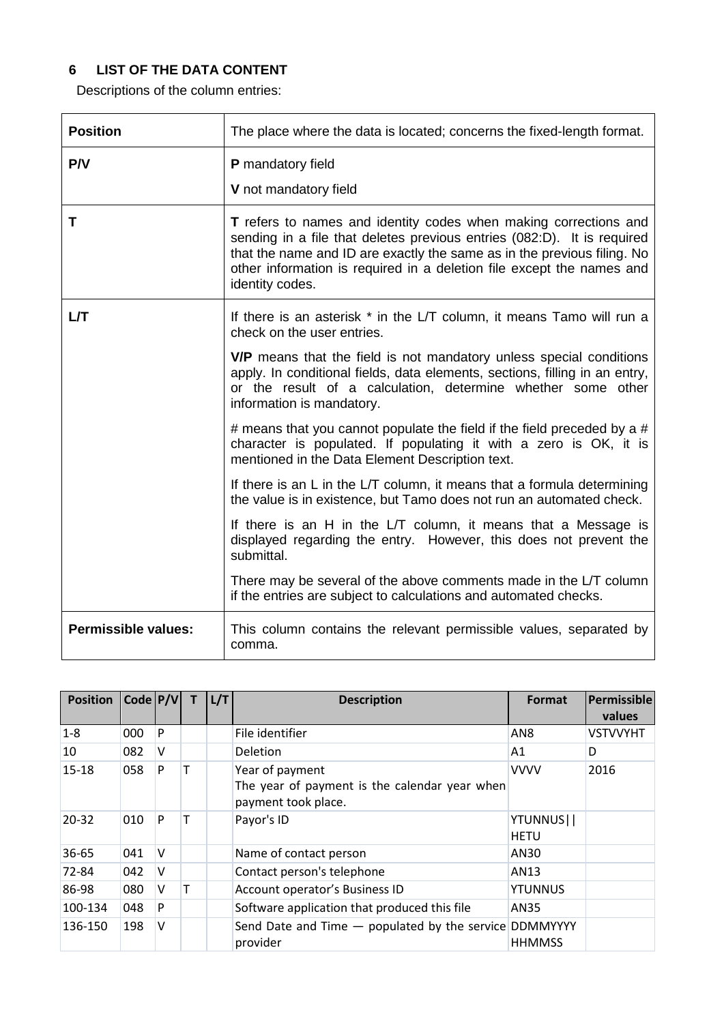# <span id="page-3-0"></span>**6 LIST OF THE DATA CONTENT**

Descriptions of the column entries:

| <b>Position</b>     | The place where the data is located; concerns the fixed-length format.                                                                                                                                                                                                                                                    |  |  |
|---------------------|---------------------------------------------------------------------------------------------------------------------------------------------------------------------------------------------------------------------------------------------------------------------------------------------------------------------------|--|--|
| P/V                 | P mandatory field<br>V not mandatory field                                                                                                                                                                                                                                                                                |  |  |
| T                   | <b>T</b> refers to names and identity codes when making corrections and<br>sending in a file that deletes previous entries (082:D). It is required<br>that the name and ID are exactly the same as in the previous filing. No<br>other information is required in a deletion file except the names and<br>identity codes. |  |  |
| LЛ                  | If there is an asterisk * in the L/T column, it means Tamo will run a<br>check on the user entries.                                                                                                                                                                                                                       |  |  |
|                     | V/P means that the field is not mandatory unless special conditions<br>apply. In conditional fields, data elements, sections, filling in an entry,<br>or the result of a calculation, determine whether some other<br>information is mandatory.                                                                           |  |  |
|                     | # means that you cannot populate the field if the field preceded by a #<br>character is populated. If populating it with a zero is OK, it is<br>mentioned in the Data Element Description text.                                                                                                                           |  |  |
|                     | If there is an L in the L/T column, it means that a formula determining<br>the value is in existence, but Tamo does not run an automated check.                                                                                                                                                                           |  |  |
|                     | If there is an H in the L/T column, it means that a Message is<br>displayed regarding the entry. However, this does not prevent the<br>submittal.                                                                                                                                                                         |  |  |
|                     | There may be several of the above comments made in the L/T column<br>if the entries are subject to calculations and automated checks.                                                                                                                                                                                     |  |  |
| Permissible values: | This column contains the relevant permissible values, separated by<br>comma.                                                                                                                                                                                                                                              |  |  |

| <b>Position</b> | $Code$ $P/V$ |              |   | L/T | <b>Description</b>                                                                      | Format                   | Permissible<br>values |
|-----------------|--------------|--------------|---|-----|-----------------------------------------------------------------------------------------|--------------------------|-----------------------|
| $1 - 8$         | 000          | P            |   |     | File identifier                                                                         | AN8                      | <b>VSTVVYHT</b>       |
| 10              | 082          | V            |   |     | <b>Deletion</b>                                                                         | A1                       | D                     |
| 15-18           | 058          | P            | т |     | Year of payment<br>The year of payment is the calendar year when<br>payment took place. | <b>VVVV</b>              | 2016                  |
| $20 - 32$       | 010          | P            | т |     | Payor's ID                                                                              | YTUNNUS  <br><b>HETU</b> |                       |
| 36-65           | 041          | $\mathsf{v}$ |   |     | Name of contact person                                                                  | AN30                     |                       |
| 72-84           | 042          | V            |   |     | Contact person's telephone                                                              | AN13                     |                       |
| 86-98           | 080          | v            | т |     | Account operator's Business ID                                                          | <b>YTUNNUS</b>           |                       |
| 100-134         | 048          | P            |   |     | Software application that produced this file                                            | AN35                     |                       |
| 136-150         | 198          | $\vee$       |   |     | Send Date and Time - populated by the service DDMMYYYY<br>provider                      | <b>HHMMSS</b>            |                       |